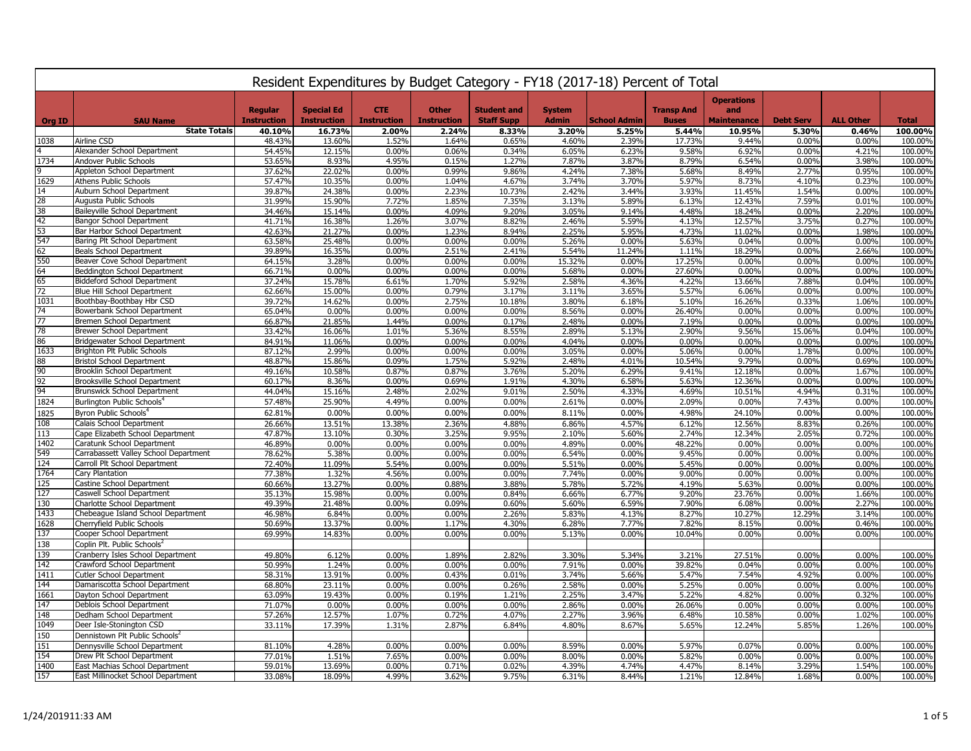|               | Resident Expenditures by Budget Category - FY18 (2017-18) Percent of Total |                    |                    |                    |                    |                    |                |                     |                   |                          |                  |                  |                    |
|---------------|----------------------------------------------------------------------------|--------------------|--------------------|--------------------|--------------------|--------------------|----------------|---------------------|-------------------|--------------------------|------------------|------------------|--------------------|
|               |                                                                            | <b>Regular</b>     | <b>Special Ed</b>  | <b>CTE</b>         | <b>Other</b>       | <b>Student and</b> | <b>System</b>  |                     | <b>Transp And</b> | <b>Operations</b><br>and |                  |                  |                    |
| <b>Org ID</b> | <b>SAU Name</b><br><b>State Totals</b>                                     | <b>Instruction</b> | <b>Instruction</b> | <b>Instruction</b> | <b>Instruction</b> | <b>Staff Supp</b>  | <b>Admin</b>   | <b>School Admin</b> | <b>Buses</b>      | <b>Maintenance</b>       | <b>Debt Serv</b> | <b>ALL Other</b> | <b>Total</b>       |
| 1038          | Airline CSD                                                                | 40.10%<br>48.43%   | 16.73%<br>13.60%   | 2.00%<br>1.52%     | 2.24%<br>1.64%     | 8.33%<br>0.65%     | 3.20%<br>4.60% | 5.25%<br>2.39%      | 5.44%<br>17.73%   | 10.95%<br>9.44%          | 5.30%<br>0.00%   | 0.46%<br>0.00%   | 100.00%<br>100.00% |
|               | Alexander School Department                                                | 54.45%             | 12.15%             | 0.00%              | 0.06%              | 0.34%              | 6.05%          | 6.23%               | 9.58%             | 6.92%                    | 0.00%            | 4.21%            | 100.00%            |
| 1734          | Andover Public Schools                                                     | 53.65%             | 8.93%              | 4.95%              | 0.15%              | 1.27%              | 7.87%          | 3.87%               | 8.79%             | 6.54%                    | 0.00%            | 3.98%            | 100.00%            |
|               | Appleton School Department                                                 | 37.62%             | 22.02%             | 0.00%              | 0.99%              | 9.86%              | 4.24%          | 7.38%               | 5.68%             | 8.49%                    | 2.77%            | 0.95%            | 100.00%            |
| 1629          | <b>Athens Public Schools</b>                                               | 57.47%             | 10.35%             | 0.00%              | 1.04%              | 4.67%              | 3.74%          | 3.70%               | 5.97%             | 8.73%                    | 4.10%            | 0.23%            | 100.00%            |
| 14            | Auburn School Department                                                   | 39.87%             | 24.38%             | 0.00%              | 2.23%              | 10.73%             | 2.42%          | 3.44%               | 3.93%             | 11.45%                   | 1.54%            | 0.00%            | 100.00%            |
| 28            | Augusta Public Schools                                                     | 31.99%             | 15.90%             | 7.72%              | 1.85%              | 7.35%              | 3.13%          | 5.89%               | 6.13%             | 12.43%                   | 7.59%            | 0.01%            | 100.00%            |
| 38            | <b>Baileyville School Department</b>                                       | 34.46%             | 15.14%             | 0.00%              | 4.09%              | 9.20%              | 3.05%          | 9.14%               | 4.48%             | 18.24%                   | 0.00%            | 2.20%            | 100.00%            |
| 42            | <b>Bangor School Department</b>                                            | 41.71%             | 16.38%             | 1.26%              | 3.07%              | 8.82%              | 2.46%          | 5.59%               | 4.13%             | 12.57%                   | 3.75%            | 0.27%            | 100.00%            |
| 53            | Bar Harbor School Department                                               | 42.63%             | 21.27%             | 0.00%              | 1.23%              | 8.94%              | 2.25%          | 5.95%               | 4.73%             | 11.02%                   | 0.00%            | 1.98%            | 100.00%            |
| 547           | Baring Plt School Department                                               | 63.58%             | 25.48%             | 0.00%              | 0.00%              | 0.00%              | 5.26%          | 0.00%               | 5.63%             | 0.04%                    | 0.00%            | 0.00%            | 100.00%            |
| 62            | Beals School Department                                                    | 39.89%             | 16.35%             | 0.00%              | 2.51%              | 2.41%              | 5.54%          | 11.24%              | 1.11%             | 18.29%                   | 0.00%            | 2.66%            | 100.00%            |
| 550           | Beaver Cove School Department                                              | 64.15%             | 3.28%              | 0.00%              | 0.00%              | 0.00%              | 15.32%         | 0.00%               | 17.25%            | 0.00%                    | 0.00%            | 0.00%            | 100.00%            |
| 64            | Beddington School Department                                               | 66.71%             | 0.00%              | 0.00%              | 0.00%              | 0.00%              | 5.68%          | 0.00%               | 27.60%            | 0.00%                    | 0.00%            | 0.00%            | 100.00%            |
| 65            | <b>Biddeford School Department</b>                                         | 37.24%             | 15.78%             | 6.61%              | 1.70%              | 5.92%              | 2.58%          | 4.36%               | 4.22%             | 13.66%                   | 7.88%            | 0.04%            | 100.00%            |
| 72            | <b>Blue Hill School Department</b>                                         | 62.66%             | 15.00%             | 0.00%              | 0.79%              | 3.17%              | 3.11%          | 3.65%               | 5.57%             | 6.06%                    | 0.00%            | 0.00%            | 100.00%            |
| 1031<br>74    | Boothbay-Boothbay Hbr CSD                                                  | 39.72%             | 14.62%             | 0.00%              | 2.75%              | 10.18%             | 3.80%          | 6.18%               | 5.10%             | 16.26%                   | 0.33%            | 1.06%            | 100.00%            |
| 77            | Bowerbank School Department<br>Bremen School Department                    | 65.04%             | 0.00%<br>21.85%    | 0.00%<br>1.44%     | 0.00%<br>0.00%     | 0.00%<br>0.17%     | 8.56%<br>2.48% | 0.00%<br>0.00%      | 26.40%<br>7.19%   | 0.00%<br>0.00%           | 0.00%<br>0.00%   | 0.00%<br>0.00%   | 100.00%<br>100.00% |
| 78            | <b>Brewer School Department</b>                                            | 66.87%<br>33.42%   | 16.06%             | 1.01%              | 5.36%              | 8.55%              | 2.89%          | 5.13%               | 2.90%             | 9.56%                    | 15.06%           | 0.04%            | 100.00%            |
| 86            | Bridgewater School Department                                              | 84.91%             | 11.06%             | 0.00%              | 0.00%              | 0.00%              | 4.04%          | 0.00%               | 0.00%             | 0.00%                    | 0.00%            | 0.00%            | 100.00%            |
| 1633          | <b>Brighton Plt Public Schools</b>                                         | 87.12%             | 2.99%              | 0.00%              | 0.00%              | 0.00%              | 3.05%          | 0.00%               | 5.06%             | 0.00%                    | 1.78%            | 0.00%            | 100.00%            |
| 88            | <b>Bristol School Department</b>                                           | 48.87%             | 15.86%             | 0.09%              | 1.75%              | 5.92%              | 2.48%          | 4.01%               | 10.54%            | 9.79%                    | 0.00%            | 0.69%            | 100.00%            |
| 90            | Brooklin School Department                                                 | 49.16%             | 10.58%             | 0.87%              | 0.87%              | 3.76%              | 5.20%          | 6.29%               | 9.41%             | 12.18%                   | 0.00%            | 1.67%            | 100.00%            |
| 92            | Brooksville School Department                                              | 60.17%             | 8.36%              | 0.00%              | 0.69%              | 1.91%              | 4.30%          | 6.58%               | 5.63%             | 12.36%                   | 0.00%            | 0.00%            | 100.00%            |
| 94            | <b>Brunswick School Department</b>                                         | 44.04%             | 15.16%             | 2.48%              | 2.02%              | 9.01%              | 2.50%          | 4.33%               | 4.69%             | 10.51%                   | 4.94%            | 0.31%            | 100.00%            |
| 1824          | Burlington Public Schools <sup>4</sup>                                     | 57.48%             | 25.90%             | 4.49%              | 0.00%              | 0.00%              | 2.61%          | 0.00%               | 2.09%             | 0.00%                    | 7.43%            | 0.00%            | 100.00%            |
| 1825          | Byron Public Schools <sup>4</sup>                                          | 62.81%             | 0.00%              | 0.00%              | 0.00%              | 0.00%              | 8.11%          | 0.00%               | 4.98%             | 24.10%                   | 0.00%            | 0.00%            | 100.00%            |
| 108           | Calais School Department                                                   | 26.66%             | 13.51%             | 13.38%             | 2.36%              | 4.88%              | 6.86%          | 4.57%               | 6.12%             | 12.56%                   | 8.83%            | 0.26%            | 100.00%            |
| 113           | Cape Elizabeth School Department                                           | 47.87%             | 13.10%             | 0.30%              | 3.25%              | 9.95%              | 2.10%          | 5.60%               | 2.74%             | 12.34%                   | 2.05%            | 0.72%            | 100.00%            |
| 1402          | Caratunk School Department                                                 | 46.89%             | 0.00%              | 0.00%              | 0.00%              | 0.00%              | 4.89%          | 0.00%               | 48.22%            | 0.00%                    | 0.00%            | 0.00%            | 100.00%            |
| 549           | Carrabassett Valley School Department                                      | 78.62%             | 5.38%              | 0.00%              | 0.00%              | 0.00%              | 6.54%          | 0.00%               | 9.45%             | 0.00%                    | 0.00%            | 0.00%            | 100.00%            |
| 124           | Carroll Plt School Department                                              | 72.40%             | 11.09%             | 5.54%              | 0.00%              | 0.00%              | 5.51%          | 0.00%               | 5.45%             | 0.00%                    | 0.00%            | 0.00%            | 100.00%            |
| 1764          | Cary Plantation                                                            | 77.38%             | 1.32%              | 4.56%              | 0.00%              | 0.00%              | 7.74%          | 0.00%               | 9.00%             | 0.00%                    | 0.00%            | 0.00%            | 100.00%            |
| 125           | Castine School Department                                                  | 60.66%             | 13.27%             | 0.00%              | 0.88%              | 3.88%              | 5.78%          | 5.72%               | 4.19%             | 5.63%                    | 0.00%            | 0.00%            | 100.00%            |
| 127           | Caswell School Department                                                  | 35.13%             | 15.98%             | 0.00%              | 0.00%              | 0.84%              | 6.66%          | 6.77%               | 9.20%             | 23.76%                   | 0.00%            | 1.66%            | 100.00%            |
| 130           | Charlotte School Department                                                | 49.39%             | 21.48%             | 0.00%              | 0.09%              | 0.60%              | 5.60%          | 6.59%               | 7.90%             | 6.08%                    | 0.00%            | 2.27%            | 100.00%            |
| 1433          | Chebeague Island School Department                                         | 46.98%             | 6.84%              | 0.00%              | 0.00%              | 2.26%              | 5.83%          | 4.13%               | 8.27%             | 10.27%                   | 12.29%           | 3.14%            | 100.00%            |
| 1628          | Cherryfield Public Schools                                                 | 50.69%             | 13.37%             | 0.00%              | 1.17%              | 4.30%              | 6.28%          | 7.77%               | 7.82%             | 8.15%                    | 0.00%            | 0.46%            | 100.00%            |
| 137           | Cooper School Department                                                   | 69.99%             | 14.83%             | 0.00%              | 0.00%              | 0.00%              | 5.13%          | 0.00%               | 10.04%            | 0.00%                    | 0.00%            | 0.00%            | 100.00%            |
| 138           | Coplin Plt. Public Schools <sup>2</sup>                                    |                    |                    |                    |                    |                    |                |                     |                   |                          |                  |                  |                    |
| 139           | Cranberry Isles School Department                                          | 49.80%             | 6.12%              | 0.00%              | 1.89%              | 2.82%              | 3.30%          | 5.34%               | 3.21%             | 27.51%                   | 0.00%            | 0.00%            | 100.00%            |
| 142           | Crawford School Department                                                 | 50.99%             | 1.24%              | 0.00%              | 0.00%              | 0.00%              | 7.91%          | 0.00%               | 39.82%            | 0.04%                    | 0.00%            | 0.00%            | 100.00%            |
| 1411          | <b>Cutler School Department</b>                                            | 58.31%             | 13.91%             | 0.00%              | 0.43%              | 0.01%              | 3.74%          | 5.66%               | 5.47%             | 7.54%                    | 4.92%            | 0.00%            | 100.00%            |
| 144           | Damariscotta School Department                                             | 68.80%             | 23.11%             | 0.00%              | 0.00%              | 0.26%              | 2.58%          | 0.00%               | 5.25%             | 0.00%                    | 0.00%            | 0.00%            | 100.00%            |
| 1661<br>147   | Dayton School Department                                                   | 63.09%             | 19.43%             | 0.00%              | 0.19%              | 1.21%              | 2.25%          | 3.47%               | 5.22%             | 4.82%                    | 0.00%            | 0.32%            | 100.00%            |
| 148           | Deblois School Department<br>Dedham School Department                      | 71.07%<br>57.26%   | 0.00%<br>12.57%    | 0.00%<br>1.07%     | 0.00%<br>0.72%     | 0.00%<br>4.07%     | 2.86%<br>2.27% | 0.00%<br>3.96%      | 26.06%<br>6.48%   | 0.00%<br>10.58%          | 0.00%<br>0.00%   | 0.00%<br>1.02%   | 100.00%<br>100.00% |
| 1049          | Deer Isle-Stonington CSD                                                   | 33.11%             | 17.39%             | 1.31%              | 2.87%              | 6.84%              | 4.80%          | 8.67%               | 5.65%             | 12.24%                   | 5.85%            | 1.26%            | 100.00%            |
| 150           | Dennistown Plt Public Schools <sup>4</sup>                                 |                    |                    |                    |                    |                    |                |                     |                   |                          |                  |                  |                    |
| 151           | Dennysville School Department                                              | 81.10%             | 4.28%              | 0.00%              | 0.00%              | 0.00%              | 8.59%          | 0.00%               | 5.97%             | 0.07%                    | 0.00%            | 0.00%            | 100.00%            |
| 154           | Drew Plt School Department                                                 | 77.01%             | 1.51%              | 7.65%              | 0.00%              | 0.00%              | 8.00%          | 0.00%               | 5.82%             | 0.00%                    | 0.00%            | 0.00%            | 100.00%            |
| 1400          | East Machias School Department                                             | 59.01%             | 13.69%             | 0.00%              | 0.71%              | 0.02%              | 4.39%          | 4.74%               | 4.47%             | 8.14%                    | 3.29%            | 1.54%            | 100.00%            |
| 157           | East Millinocket School Department                                         | 33.08%             | 18.09%             | 4.99%              | 3.62%              | 9.75%              | 6.31%          | 8.44%               | 1.21%             | 12.84%                   | 1.68%            | 0.00%            | 100.00%            |
|               |                                                                            |                    |                    |                    |                    |                    |                |                     |                   |                          |                  |                  |                    |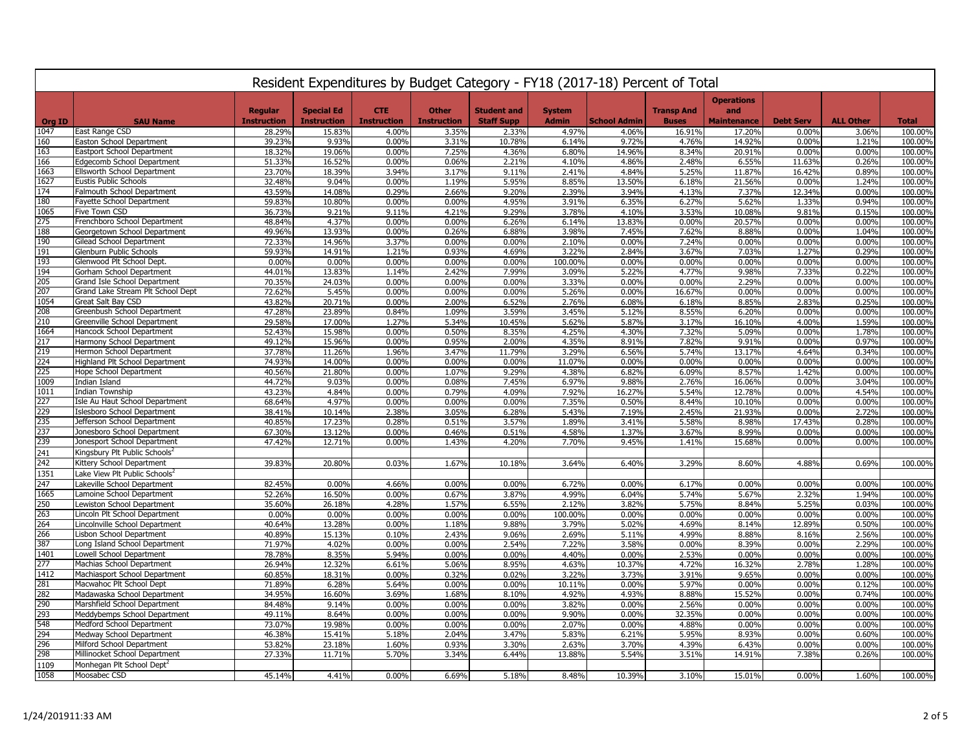|               | Resident Expenditures by Budget Category - FY18 (2017-18) Percent of Total |                    |                    |                    |                    |                    |                |                     |                   |                          |                  |                  |                    |
|---------------|----------------------------------------------------------------------------|--------------------|--------------------|--------------------|--------------------|--------------------|----------------|---------------------|-------------------|--------------------------|------------------|------------------|--------------------|
|               |                                                                            | <b>Regular</b>     | <b>Special Ed</b>  | <b>CTE</b>         | <b>Other</b>       | <b>Student and</b> | <b>System</b>  |                     | <b>Transp And</b> | <b>Operations</b><br>and |                  |                  |                    |
| <b>Org ID</b> | <b>SAU Name</b>                                                            | <b>Instruction</b> | <b>Instruction</b> | <b>Instruction</b> | <b>Instruction</b> | <b>Staff Supp</b>  | <b>Admin</b>   | <b>School Admin</b> | <b>Buses</b>      | <b>Maintenance</b>       | <b>Debt Serv</b> | <b>ALL Other</b> | <b>Total</b>       |
| 1047          | East Range CSD                                                             | 28.29%             | 15.83%             | 4.00%              | 3.35%              | 2.33%              | 4.97%          | 4.06%               | 16.91%            | 17.20%                   | 0.00%            | 3.06%            | 100.00%            |
| 160           | Easton School Department                                                   | 39.23%             | 9.93%              | 0.00%              | 3.31%              | 10.78%             | 6.14%          | 9.72%               | 4.76%             | 14.92%                   | 0.00%            | 1.21%            | 100.00%            |
| 163<br>166    | Eastport School Department                                                 | 18.32%             | 19.06%             | 0.00%              | 7.25%              | 4.36%              | 6.80%          | 14.96%              | 8.34%             | 20.91%                   | 0.00%            | 0.00%            | 100.00%            |
|               | Edgecomb School Department                                                 | 51.33%             | 16.52%             | 0.00%<br>3.94%     | 0.06%              | 2.21%              | 4.10%          | 4.86%<br>4.84%      | 2.48%<br>5.25%    | 6.55%                    | 11.63%<br>16.42% | 0.26%<br>0.89%   | 100.00%            |
| 1663<br>1627  | Ellsworth School Department<br><b>Eustis Public Schools</b>                | 23.70%             | 18.39%<br>9.04%    | 0.00%              | 3.17%<br>1.19%     | 9.11%<br>5.95%     | 2.41%<br>8.85% | 13.50%              |                   | 11.87%<br>21.56%         |                  | 1.24%            | 100.00%<br>100.00% |
| 174           | Falmouth School Department                                                 | 32.48%<br>43.59%   | 14.08%             | 0.29%              | 2.66%              | 9.20%              | 2.39%          | 3.94%               | 6.18%<br>4.13%    | 7.37%                    | 0.00%<br>12.34%  | 0.00%            | 100.00%            |
| 180           | Fayette School Department                                                  | 59.83%             | 10.80%             | 0.00%              | 0.00%              | 4.95%              | 3.91%          | 6.35%               | 6.27%             | 5.62%                    | 1.33%            | 0.94%            | 100.00%            |
| 1065          | Five Town CSD                                                              | 36.73%             | 9.21%              | 9.11%              | 4.21%              | 9.29%              | 3.78%          | 4.10%               | 3.53%             | 10.08%                   | 9.81%            | 0.15%            | 100.00%            |
| 275           | Frenchboro School Department                                               | 48.84%             | 4.37%              | 0.00%              | 0.00%              | 6.26%              | 6.14%          | 13.83%              | 0.00%             | 20.57%                   | 0.00%            | 0.00%            | 100.00%            |
| 188           | Georgetown School Department                                               | 49.96%             | 13.93%             | 0.00%              | 0.26%              | 6.88%              | 3.98%          | 7.45%               | 7.62%             | 8.88%                    | 0.00%            | 1.04%            | 100.00%            |
| 190           | Gilead School Department                                                   | 72.33%             | 14.96%             | 3.37%              | 0.00%              | 0.00%              | 2.10%          | 0.00%               | 7.24%             | 0.00%                    | 0.00%            | 0.00%            | 100.00%            |
| 191           | Glenburn Public Schools                                                    | 59.93%             | 14.91%             | 1.21%              | 0.93%              | 4.69%              | 3.22%          | 2.84%               | 3.67%             | 7.03%                    | 1.27%            | 0.29%            | 100.00%            |
| 193           | Glenwood Plt School Dept                                                   | 0.00%              | 0.00%              | 0.00%              | 0.00%              | 0.00%              | 100.00%        | 0.00%               | 0.00%             | 0.00%                    | 0.00%            | 0.00%            | 100.00%            |
| 194           | Gorham School Department                                                   | 44.01%             | 13.83%             | 1.14%              | 2.42%              | 7.99%              | 3.09%          | 5.22%               | 4.77%             | 9.98%                    | 7.33%            | 0.22%            | 100.00%            |
| 205           | Grand Isle School Department                                               | 70.35%             | 24.03%             | 0.00%              | 0.00%              | 0.00%              | 3.33%          | 0.00%               | 0.00%             | 2.29%                    | 0.00%            | 0.00%            | 100.00%            |
| 207           | Grand Lake Stream Plt School Dept                                          | 72.62%             | 5.45%              | 0.00%              | 0.00%              | 0.00%              | 5.26%          | 0.00%               | 16.67%            | 0.00%                    | 0.00%            | 0.00%            | 100.00%            |
| 1054          | Great Salt Bay CSD                                                         | 43.82%             | 20.71%             | 0.00%              | 2.00%              | 6.52%              | 2.76%          | 6.08%               | 6.18%             | 8.85%                    | 2.83%            | 0.25%            | 100.00%            |
| 208           | Greenbush School Department                                                | 47.28%             | 23.89%             | 0.84%              | 1.09%              | 3.59%              | 3.45%          | 5.12%               | 8.55%             | 6.209                    | 0.00%            | 0.00%            | 100.00%            |
| 210           | Greenville School Department                                               | 29.58%             | 17.00%             | 1.27%              | 5.34%              | 10.45%             | 5.62%          | 5.87%               | 3.17%             | 16.10%                   | 4.00%            | 1.59%            | 100.00%            |
| 1664          | Hancock School Department                                                  | 52.43%             | 15.98%             | 0.00%              | 0.50%              | 8.35%              | 4.25%          | 4.30%               | 7.32%             | 5.09%                    | 0.00%            | 1.78%            | 100.00%            |
| 217           | Harmony School Department                                                  | 49.12%             | 15.96%             | 0.00%              | 0.95%              | 2.00%              | 4.35%          | 8.91%               | 7.82%             | 9.91%                    | 0.00%            | 0.97%            | 100.00%            |
| 219           | Hermon School Department                                                   | 37.78%             | 11.26%             | 1.96%              | 3.47%              | 11.79%             | 3.29%          | 6.56%               | 5.74%             | 13.17%                   | 4.64%            | 0.34%            | 100.00%            |
| 224           | Highland Plt School Department                                             | 74.93%             | 14.00%             | 0.00%              | 0.00%              | 0.00%              | 11.07%         | 0.00%               | 0.00%             | 0.00%                    | 0.00%            | 0.00%            | 100.00%            |
| 225           | Hope School Department                                                     | 40.56%             | 21.80%             | 0.00%              | 1.07%              | 9.29%              | 4.38%          | 6.82%               | 6.09%             | 8.57%                    | 1.42%            | 0.00%            | 100.00%            |
| 1009          | Indian Island                                                              | 44.72%             | 9.03%              | 0.00%              | 0.08%              | 7.45%              | 6.97%          | 9.88%               | 2.76%             | 16.06%                   | 0.00%            | 3.04%            | 100.00%            |
| 1011          | Indian Township                                                            | 43.23%             | 4.84%              | 0.00%              | 0.79%              | 4.09%              | 7.92%          | 16.27%              | 5.54%             | 12.78%                   | 0.00%            | 4.54%            | 100.00%            |
| 227           | Isle Au Haut School Department                                             | 68.64%             | 4.97%              | 0.00%              | 0.00%              | 0.00%              | 7.35%          | 0.50%               | 8.44%             | 10.10%                   | 0.00%            | 0.00%            | 100.00%            |
| 229           | Islesboro School Department                                                | 38.41%             | 10.14%             | 2.38%              | 3.05%              | 6.28%              | 5.43%          | 7.19%               | 2.45%             | 21.93%                   | 0.00%            | 2.72%            | 100.00%            |
| 235           | Jefferson School Department                                                | 40.85%             | 17.23%             | 0.28%              | 0.51%              | 3.57%              | 1.89%          | 3.41%               | 5.58%             | 8.98%                    | 17.43%           | 0.28%            | 100.00%            |
| 237           | Jonesboro School Department                                                | 67.30%             | 13.12%             | 0.00%              | 0.46%              | 0.51%              | 4.58%          | 1.37%               | 3.67%             | 8.99%                    | 0.00%            | 0.00%            | 100.00%            |
| 239           | Jonesport School Department                                                | 47.42%             | 12.71%             | 0.00%              | 1.43%              | 4.20%              | 7.70%          | 9.45%               | 1.41%             | 15.68%                   | 0.00%            | 0.00%            | 100.00%            |
| 241           | Kingsbury Plt Public Schools                                               |                    |                    |                    |                    |                    |                |                     |                   |                          |                  |                  |                    |
| 242           | Kittery School Department                                                  | 39.83%             | 20.80%             | 0.03%              | 1.67%              | 10.18%             | 3.64%          | 6.40%               | 3.29%             | 8.60%                    | 4.88%            | 0.69%            | 100.00%            |
| 1351          | Lake View Plt Public Schools'                                              |                    |                    |                    |                    |                    |                |                     |                   |                          |                  |                  |                    |
| 247           | Lakeville School Department                                                | 82.45%             | 0.00%              | 4.66%              | 0.00%              | 0.00%              | 6.72%          | 0.00%               | 6.17%             | 0.00%                    | 0.00%            | 0.00%            | 100.00%            |
| 1665          | Lamoine School Department                                                  | 52.26%             | 16.50%             | 0.00%              | 0.67%              | 3.87%              | 4.99%          | 6.04%               | 5.74%             | 5.67%                    | 2.32%            | 1.94%            | 100.00%            |
| 250           | Lewiston School Department                                                 | 35.60%             | 26.18%             | 4.28%              | 1.57%              | 6.55%              | 2.12%          | 3.82%               | 5.75%             | 8.84%                    | 5.25%            | 0.03%            | 100.00%            |
| 263           | Lincoln Plt School Department                                              | 0.00%              | 0.00%              | 0.00%              | 0.00%              | 0.00%              | 100.00%        | 0.00%               | 0.00%             | 0.00%                    | 0.00%            | 0.00%            | 100.00%            |
| 264           | Lincolnville School Department                                             | 40.64%             | 13.28%             | 0.00%              | 1.18%              | 9.88%              | 3.79%          | 5.02%               | 4.69%             | 8.14%                    | 12.89%           | 0.50%            | 100.00%            |
| 266           | Lisbon School Department                                                   | 40.89%             | 15.13%             | 0.10%              | 2.43%              | 9.06%              | 2.69%          | 5.11%               | 4.99%             | 8.88%                    | 8.16%            | 2.56%            | 100.00%            |
| 387<br>1401   | Long Island School Department                                              | 71.97%<br>78.78%   | 4.02%<br>8.35%     | 0.00%<br>5.94%     | 0.00%<br>0.00%     | 2.54%<br>0.00%     | 7.22%<br>4.40% | 3.58%<br>0.00%      | 0.00%<br>2.53%    | 8.39%<br>0.00%           | 0.00%<br>0.00%   | 2.29%<br>0.00%   | 100.00%<br>100.00% |
| 277           | Lowell School Department<br>Machias School Department                      | 26.94%             | 12.32%             | 6.61%              | 5.06%              | 8.95%              | 4.63%          | 10.37%              | 4.72%             | 16.32%                   | 2.78%            | 1.28%            | 100.00%            |
| 1412          | Machiasport School Department                                              | 60.85%             | 18.31%             | 0.00%              | 0.32%              | 0.02%              | 3.22%          | 3.73%               | 3.91%             | 9.65%                    | 0.00%            | 0.00%            | 100.00%            |
| 281           | Macwahoc Plt School Dept                                                   | 71.89%             | 6.28%              | 5.64%              | 0.00%              | 0.00%              | 10.11%         | 0.00%               | 5.97%             | 0.00%                    | 0.00%            | 0.12%            | 100.00%            |
| 282           | Madawaska School Department                                                | 34.95%             | 16.60%             | 3.69%              | 1.68%              | 8.10%              | 4.92%          | 4.93%               | 8.88%             | 15.52%                   | 0.00%            | 0.74%            | 100.00%            |
| 290           | Marshfield School Department                                               | 84.48%             | 9.14%              | 0.00%              | 0.00%              | 0.00%              | 3.82%          | 0.00%               | 2.56%             | 0.00%                    | 0.00%            | 0.00%            | 100.00%            |
| 293           | Meddybemps School Department                                               | 49.11%             | 8.64%              | 0.00%              | 0.00%              | 0.00%              | 9.90%          | 0.00%               | 32.35%            | 0.00%                    | 0.00%            | 0.00%            | 100.00%            |
| 548           | Medford School Department                                                  | 73.07%             | 19.98%             | 0.00%              | 0.00%              | 0.00%              | 2.07%          | 0.00%               | 4.88%             | 0.00%                    | 0.00%            | 0.00%            | 100.00%            |
| 294           | Medway School Department                                                   | 46.38%             | 15.41%             | 5.18%              | 2.04%              | 3.47%              | 5.83%          | 6.21%               | 5.95%             | 8.93%                    | 0.00%            | 0.60%            | 100.00%            |
| 296           | Milford School Department                                                  | 53.82%             | 23.18%             | 1.60%              | 0.93%              | 3.30%              | 2.63%          | 3.70%               | 4.39%             | 6.43%                    | 0.00%            | 0.00%            | 100.00%            |
| 298           | Millinocket School Department                                              | 27.33%             | 11.71%             | 5.70%              | 3.34%              | 6.44%              | 13.88%         | 5.54%               | 3.51%             | 14.91%                   | 7.38%            | 0.26%            | 100.00%            |
| 1109          | Monhegan Plt School Dept <sup>2</sup>                                      |                    |                    |                    |                    |                    |                |                     |                   |                          |                  |                  |                    |
| 1058          | Moosabec CSD                                                               | 45.14%             | 4.41%              | 0.00%              | 6.69%              | 5.18%              | 8.48%          | 10.39%              | 3.10%             | 15.01%                   | 0.00%            | 1.60%            | 100.00%            |
|               |                                                                            |                    |                    |                    |                    |                    |                |                     |                   |                          |                  |                  |                    |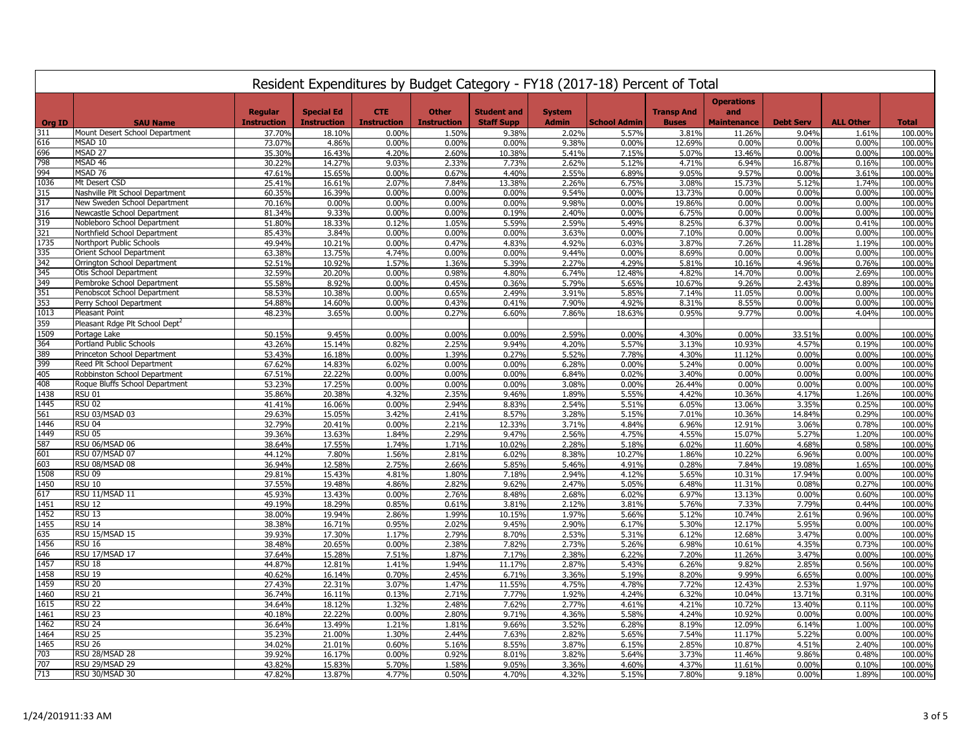|               | Resident Expenditures by Budget Category - FY18 (2017-18) Percent of Total |                    |                    |                    |                    |                    |                |                     |                   |                          |                  |                  |                    |
|---------------|----------------------------------------------------------------------------|--------------------|--------------------|--------------------|--------------------|--------------------|----------------|---------------------|-------------------|--------------------------|------------------|------------------|--------------------|
|               |                                                                            | <b>Regular</b>     | <b>Special Ed</b>  | <b>CTE</b>         | <b>Other</b>       | <b>Student and</b> | <b>System</b>  |                     | <b>Transp And</b> | <b>Operations</b><br>and |                  |                  |                    |
| <b>Org ID</b> | <b>SAU Name</b>                                                            | <b>Instruction</b> | <b>Instruction</b> | <b>Instruction</b> | <b>Instruction</b> | <b>Staff Supp</b>  | <b>Admin</b>   | <b>School Admin</b> | <b>Buses</b>      | <b>Maintenance</b>       | <b>Debt Serv</b> | <b>ALL Other</b> | <b>Total</b>       |
| 311           | Mount Desert School Department                                             | 37.70%             | 18.10%             | 0.00%              | 1.50%              | 9.38%              | 2.02%          | 5.57%               | 3.81%             | 11.26%                   | 9.04%            | 1.61%            | 100.00%            |
| 616           | MSAD 10                                                                    | 73.07%             | 4.86%              | 0.00%              | 0.00%              | 0.00%              | 9.38%          | 0.00%               | 12.69%            | 0.00%                    | 0.00%            | 0.00%            | 100.00%            |
| 696           | MSAD <sub>27</sub>                                                         | 35.30%             | 16.43%             | 4.20%              | 2.60%              | 10.38%             | 5.41%          | 7.15%               | 5.07%             | 13.46%                   | 0.00%            | 0.00%            | 100.00%            |
| 798           | MSAD 46                                                                    | 30.22%             | 14.27%             | 9.03%              | 2.33%              | 7.73%              | 2.62%          | 5.12%               | 4.71%             | 6.94%                    | 16.87%           | 0.16%            | 100.00%            |
| 994           | MSAD 76                                                                    | 47.61%             | 15.65%             | 0.00%              | 0.67%              | 4.40%              | 2.55%          | 6.89%               | 9.05%             | 9.57%                    | 0.00%            | 3.61%            | 100.00%            |
| 1036          | Mt Desert CSD                                                              | 25.41%             | 16.61%             | 2.07%              | 7.84%              | 13.38%             | 2.26%          | 6.75%               | 3.08%             | 15.73%                   | 5.12%            | 1.74%            | 100.00%            |
| 315           | Nashville Plt School Department                                            | 60.35%             | 16.39%             | 0.00%              | 0.00%              | 0.00%              | 9.54%          | 0.00%               | 13.73%            | 0.00%                    | 0.00%            | 0.00%            | 100.00%            |
| 317           | New Sweden School Department                                               | 70.16%             | 0.00%              | 0.00%              | 0.00%              | 0.00%              | 9.98%          | 0.00%               | 19.86%            | 0.00%                    | 0.00%            | 0.00%            | 100.00%            |
| 316           | Newcastle School Department                                                | 81.34%             | 9.33%              | 0.00%              | 0.00%              | 0.19%              | 2.40%          | 0.00%               | 6.75%             | 0.00%                    | 0.00%            | 0.00%            | 100.00%            |
| 319<br>321    | Nobleboro School Department                                                | 51.80%             | 18.33%             | 0.12%              | 1.05%              | 5.59%              | 2.59%          | 5.49%               | 8.25%             | 6.37%                    | 0.00%            | 0.41%            | 100.00%            |
|               | Northfield School Department                                               | 85.43%             | 3.84%              | 0.00%              | 0.00%              | 0.00%              | 3.63%          | 0.00%               | 7.10%             | 0.00%                    | 0.00%            | 0.00%            | 100.00%            |
| 1735<br>335   | Northport Public Schools<br>Orient School Department                       | 49.94%             | 10.21%             | 0.00%<br>4.74%     | 0.47%              | 4.83%<br>0.00%     | 4.92%          | 6.03%<br>0.00%      | 3.87%             | 7.26%<br>0.00%           | 11.28%<br>0.00%  | 1.19%<br>0.00%   | 100.00%            |
| 342           | Orrington School Department                                                | 63.38%<br>52.51%   | 13.75%<br>10.92%   | 1.57%              | 0.00%<br>1.36%     | 5.39%              | 9.44%<br>2.27% | 4.29%               | 8.69%<br>5.81%    | 10.16%                   | 4.96%            | 0.76%            | 100.00%<br>100.00% |
| 345           | Otis School Department                                                     | 32.59%             | 20.20%             | 0.00%              | 0.98%              | 4.80%              | 6.74%          | 12.48%              | 4.82%             | 14.70%                   | 0.00%            | 2.69%            | 100.00%            |
| 349           | Pembroke School Department                                                 | 55.58%             | 8.92%              | 0.00%              | 0.45%              | 0.36%              | 5.79%          | 5.65%               | 10.67%            | 9.26%                    | 2.43%            | 0.89%            | 100.00%            |
| 351           | Penobscot School Department                                                | 58.53%             | 10.38%             | 0.00%              | 0.65%              | 2.49%              | 3.91%          | 5.85%               | 7.14%             | 11.05%                   | 0.00%            | 0.00%            | 100.00%            |
| 353           | Perry School Department                                                    | 54.88%             | 14.60%             | 0.00%              | 0.43%              | 0.41%              | 7.90%          | 4.92%               | 8.31%             | 8.55%                    | 0.00%            | 0.00%            | 100.00%            |
| 1013          | Pleasant Point                                                             | 48.23%             | 3.65%              | 0.00%              | 0.27%              | 6.60%              | 7.86%          | 18.63%              | 0.95%             | 9.77%                    | 0.00%            | 4.04%            | 100.00%            |
| 359           | Pleasant Rdge Plt School Dept <sup>2</sup>                                 |                    |                    |                    |                    |                    |                |                     |                   |                          |                  |                  |                    |
| 1509          | Portage Lake                                                               | 50.15%             | 9.45%              | 0.00%              | 0.00%              | 0.00%              | 2.59%          | 0.00%               | 4.30%             | 0.00%                    | 33.51%           | 0.00%            | 100.00%            |
| 364           | Portland Public Schools                                                    | 43.26%             | 15.14%             | 0.82%              | 2.25%              | 9.94%              | 4.20%          | 5.57%               | 3.13%             | 10.93%                   | 4.57%            | 0.19%            | 100.00%            |
| 389           | Princeton School Department                                                | 53.43%             | 16.18%             | 0.00%              | 1.39%              | 0.27%              | 5.52%          | 7.78%               | 4.30%             | 11.12%                   | 0.00%            | 0.00%            | 100.00%            |
| 399           | Reed Plt School Department                                                 | 67.62%             | 14.83%             | 6.02%              | 0.00%              | 0.00%              | 6.28%          | 0.00%               | 5.24%             | 0.00%                    | 0.00%            | 0.00%            | 100.00%            |
| 405           | Robbinston School Department                                               | 67.51%             | 22.22%             | 0.00%              | 0.00%              | 0.00%              | 6.84%          | 0.02%               | 3.40%             | 0.00%                    | 0.00%            | 0.00%            | 100.00%            |
| 408           | Roque Bluffs School Department                                             | 53.23%             | 17.25%             | 0.00%              | 0.00%              | 0.00%              | 3.08%          | 0.00%               | 26.44%            | 0.00%                    | 0.00%            | 0.00%            | 100.00%            |
| 1438          | <b>RSU 01</b>                                                              | 35.86%             | 20.38%             | 4.32%              | 2.35%              | 9.46%              | 1.89%          | 5.55%               | 4.42%             | 10.36%                   | 4.17%            | 1.26%            | 100.00%            |
| 1445          | <b>RSU 02</b>                                                              | 41.41%             | 16.06%             | 0.00%              | 2.94%              | 8.83%              | 2.54%          | 5.51%               | 6.05%             | 13.06%                   | 3.35%            | 0.25%            | 100.00%            |
| 561           | RSU 03/MSAD 03                                                             | 29.63%             | 15.05%             | 3.42%              | 2.41%              | 8.57%              | 3.28%          | 5.15%               | 7.01%             | 10.36%                   | 14.84%           | 0.29%            | 100.00%            |
| 1446          | <b>RSU 04</b>                                                              | 32.79%             | 20.41%             | 0.00%              | 2.21%              | 12.33%             | 3.71%          | 4.84%               | 6.96%             | 12.91%                   | 3.06%            | 0.78%            | 100.00%            |
| 1449          | <b>RSU 05</b>                                                              | 39.36%             | 13.63%             | 1.84%              | 2.29%              | 9.47%              | 2.56%          | 4.75%               | 4.55%             | 15.07%                   | 5.27%            | 1.20%            | 100.00%            |
| 587           | RSU 06/MSAD 06                                                             | 38.64%             | 17.55%             | 1.74%              | 1.71%              | 10.02%             | 2.28%          | 5.18%               | 6.02%             | 11.60%                   | 4.68%            | 0.58%            | 100.00%            |
| 601           | RSU 07/MSAD 07                                                             | 44.12%             | 7.80%              | 1.56%              | 2.81%              | 6.02%              | 8.38%          | 10.27%              | 1.86%             | 10.22%                   | 6.96%            | 0.00%            | 100.00%            |
| 603           | RSU 08/MSAD 08                                                             | 36.94%             | 12.58%             | 2.75%              | 2.66%              | 5.85%              | 5.46%          | 4.91%               | 0.28%             | 7.84%                    | 19.08%           | 1.65%            | 100.00%            |
| 1508          | <b>RSU 09</b>                                                              | 29.81%             | 15.43%             | 4.81%              | 1.80%              | 7.18%              | 2.94%          | 4.12%               | 5.65%             | 10.31%                   | 17.94%           | 0.00%            | 100.00%            |
| 1450          | <b>RSU 10</b>                                                              | 37.55%             | 19.48%             | 4.86%              | 2.82%              | 9.62%              | 2.47%          | 5.05%               | 6.48%             | 11.31%                   | 0.08%            | 0.27%            | 100.00%            |
| 617           | RSU 11/MSAD 11                                                             | 45.93%             | 13.43%             | 0.00%              | 2.76%              | 8.48%              | 2.68%          | 6.02%               | 6.97%             | 13.13%                   | 0.00%            | 0.60%            | 100.00%            |
| 1451          | <b>RSU 12</b>                                                              | 49.19%             | 18.29%             | 0.85%              | 0.61%              | 3.81%              | 2.12%          | 3.81%               | 5.76%             | 7.33%                    | 7.79%            | 0.44%            | 100.00%            |
| 1452          | <b>RSU 13</b>                                                              | 38.00%             | 19.94%             | 2.86%              | 1.99%              | 10.15%             | 1.97%          | 5.66%               | 5.12%             | 10.74%                   | 2.61%            | 0.96%            | 100.00%            |
| 1455          | <b>RSU 14</b>                                                              | 38.38%             | 16.71%             | 0.95%              | 2.02%              | 9.45%              | 2.90%          | 6.17%               | 5.30%             | 12.17%                   | 5.95%            | 0.00%            | 100.00%            |
| 635           | RSU 15/MSAD 15                                                             | 39.93%             | 17.30%             | 1.17%              | 2.79%              | 8.70%              | 2.53%          | 5.31%               | 6.12%             | 12.68%                   | 3.47%            | 0.00%            | 100.00%            |
| 1456          | <b>RSU 16</b>                                                              | 38.48%             | 20.65%             | 0.00%              | 2.38%              | 7.82%              | 2.73%          | 5.26%               | 6.98%             | 10.61%                   | 4.35%            | 0.73%            | 100.00%            |
| 646           | RSU 17/MSAD 17                                                             | 37.64%             | 15.28%             | 7.51%              | 1.87%              | 7.17%              | 2.38%          | 6.22%               | 7.20%             | 11.26%                   | 3.47%            | 0.00%            | 100.00%            |
| 1457          | <b>RSU 18</b>                                                              | 44.87%             | 12.81%             | 1.41%              | 1.94%              | 11.17%             | 2.87%          | 5.43%               | 6.26%             | 9.82%                    | 2.85%            | 0.56%            | 100.00%            |
| 1458          | <b>RSU 19</b>                                                              | 40.62%             | 16.14%             | 0.70%              | 2.45%              | 6.71%              | 3.36%          | 5.19%               | 8.20%             | 9.99%                    | 6.65%            | 0.00%            | 100.00%            |
| 1459          | <b>RSU 20</b>                                                              | 27.43%             | 22.31%             | 3.07%              | 1.47%              | 11.55%             | 4.75%          | 4.78%               | 7.72%             | 12.43%                   | 2.53%            | 1.97%            | 100.00%            |
| 1460          | <b>RSU 21</b>                                                              | 36.74%             | 16.11%             | 0.13%              | 2.71%              | 7.77%              | 1.92%          | 4.24%               | 6.32%             | 10.04%                   | 13.71%           | 0.31%            | 100.00%            |
| 1615          | <b>RSU 22</b>                                                              | 34.64%             | 18.12%             | 1.32%              | 2.48%              | 7.62%              | 2.77%          | 4.61%               | 4.21%             | 10.72%                   | 13.40%           | 0.11%            | 100.00%            |
| 1461          | <b>RSU 23</b>                                                              | 40.18%             | 22.22%             | 0.00%              | 2.80%              | 9.71%              | 4.36%          | 5.58%               | 4.24%             | 10.92%                   | 0.00%            | 0.00%            | 100.00%            |
| 1462          | <b>RSU 24</b>                                                              | 36.64%             | 13.49%             | 1.21%              | 1.81%              | 9.66%              | 3.52%          | 6.28%               | 8.19%             | 12.09%                   | 6.14%            | 1.00%            | 100.00%            |
| 1464          | <b>RSU 25</b>                                                              | 35.23%             | 21.00%             | 1.30%              | 2.44%              | 7.63%              | 2.82%          | 5.65%               | 7.54%             | 11.17%                   | 5.22%            | 0.00%            | 100.00%            |
| 1465          | <b>RSU 26</b>                                                              | 34.02%             | 21.01%             | 0.60%              | 5.16%              | 8.55%              | 3.87%          | 6.15%               | 2.85%             | 10.87%                   | 4.51%            | 2.40%            | 100.00%            |
| 703           | RSU 28/MSAD 28                                                             | 39.92%             | 16.17%             | 0.00%              | 0.92%              | 8.01%              | 3.82%          | 5.64%               | 3.73%             | 11.46%                   | 9.86%            | 0.48%            | 100.00%            |
| 707           | RSU 29/MSAD 29                                                             | 43.82%             | 15.83%             | 5.70%              | 1.58%              | 9.05%              | 3.36%          | 4.60%               | 4.37%             | 11.61%                   | 0.00%            | 0.10%            | 100.00%            |
| 713           | RSU 30/MSAD 30                                                             | 47.82%             | 13.87%             | 4.77%              | 0.50%              | 4.70%              | 4.32%          | 5.15%               | 7.80%             | 9.18%                    | 0.00%            | 1.89%            | 100.00%            |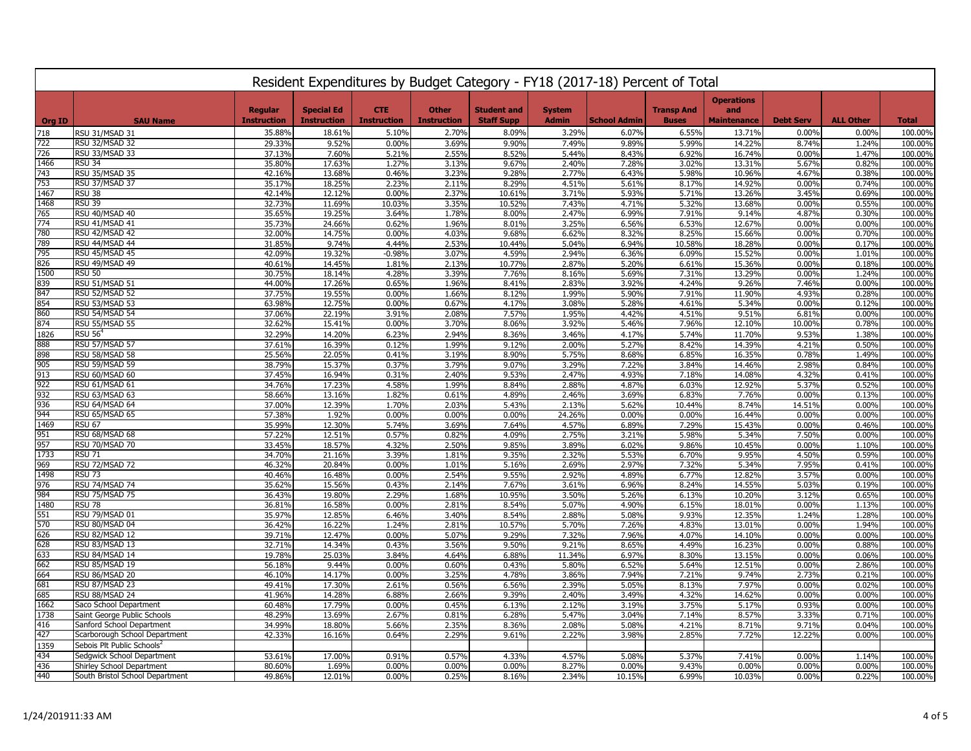|               | Resident Expenditures by Budget Category - FY18 (2017-18) Percent of Total |                    |                    |                    |                    |                    |                |                     |                   |                          |                  |                  |                    |
|---------------|----------------------------------------------------------------------------|--------------------|--------------------|--------------------|--------------------|--------------------|----------------|---------------------|-------------------|--------------------------|------------------|------------------|--------------------|
|               |                                                                            | <b>Regular</b>     | <b>Special Ed</b>  | <b>CTE</b>         | <b>Other</b>       | <b>Student and</b> | <b>System</b>  |                     | <b>Transp And</b> | <b>Operations</b><br>and |                  |                  |                    |
| <b>Org ID</b> | <b>SAU Name</b>                                                            | <b>Instruction</b> | <b>Instruction</b> | <b>Instruction</b> | <b>Instruction</b> | <b>Staff Supp</b>  | <b>Admin</b>   | <b>School Admin</b> | <b>Buses</b>      | <b>Maintenance</b>       | <b>Debt Serv</b> | <b>ALL Other</b> | <b>Total</b>       |
| 718           | RSU 31/MSAD 31                                                             | 35.88%             | 18.61%             | 5.10%              | 2.70%              | 8.09%              | 3.29%          | 6.07%               | 6.55%             | 13.71%                   | 0.00%            | 0.00%            | 100.00%            |
| 722           | RSU 32/MSAD 32                                                             | 29.33%             | 9.52%              | 0.00%              | 3.69%              | 9.90%              | 7.49%          | 9.89%               | 5.99%             | 14.22%                   | 8.74%            | 1.24%            | 100.00%            |
| 726           | RSU 33/MSAD 33                                                             | 37.13%             | 7.60%              | 5.21%              | 2.55%              | 8.52%              | 5.44%          | 8.43%               | 6.92%             | 16.74%                   | 0.00%            | 1.47%            | 100.00%            |
| 1466          | <b>RSU 34</b>                                                              | 35.80%             | 17.63%             | 1.27%              | 3.13%              | 9.67%              | 2.40%          | 7.28%               | 3.02%             | 13.31%                   | 5.67%            | 0.82%            | 100.00%            |
| 743           | RSU 35/MSAD 35                                                             | 42.16%             | 13.68%             | 0.46%              | 3.23%              | 9.28%              | 2.77%          | 6.43%               | 5.98%             | 10.96%                   | 4.67%            | 0.38%            | 100.00%            |
| 753           | RSU 37/MSAD 37                                                             | 35.17%             | 18.25%             | 2.23%              | 2.11%              | 8.29%              | 4.51%          | 5.61%               | 8.17%             | 14.92%                   | 0.00%            | 0.74%            | 100.00%            |
| 1467          | <b>RSU 38</b>                                                              | 42.14%             | 12.12%             | 0.00%              | 2.37%              | 10.61%             | 3.71%          | 5.93%               | 5.71%             | 13.26%                   | 3.45%            | 0.69%            | 100.00%            |
| 1468          | <b>RSU 39</b>                                                              | 32.73%             | 11.69%             | 10.03%             | 3.35%              | 10.52%             | 7.43%          | 4.71%               | 5.32%             | 13.68%                   | 0.00%            | 0.55%            | 100.00%            |
| 765           | RSU 40/MSAD 40                                                             | 35.65              | 19.25%             | 3.64%              | 1.78%              | 8.00%              | 2.47%          | 6.99%               | 7.91%             | 9.14%                    | 4.87%            | 0.30%            | 100.00%            |
| 774           | RSU 41/MSAD 41                                                             | 35.73%             | 24.66%             | 0.62%              | 1.96%              | 8.01%              | 3.25%          | 6.56%               | 6.53%             | 12.67%                   | 0.00%            | 0.00%            | 100.00%            |
| 780           | RSU 42/MSAD 42                                                             | 32.00%             | 14.75%             | 0.00%              | 4.03%              | 9.68%              | 6.62%          | 8.32%               | 8.25%             | 15.66%                   | 0.00%            | 0.70%            | 100.00%            |
| 789           | RSU 44/MSAD 44                                                             | 31.85%             | 9.74%              | 4.44%              | 2.53%              | 10.44%             | 5.04%          | 6.94%               | 10.58%            | 18.28%                   | 0.00%            | 0.17%            | 100.00%            |
| 795           | RSU 45/MSAD 45                                                             | 42.09%             | 19.32%             | $-0.98%$           | 3.07%              | 4.59%              | 2.94%          | 6.36%               | 6.09%             | 15.52%                   | 0.00%            | 1.01%            | 100.00%            |
| 826           | RSU 49/MSAD 49                                                             | 40.61%             | 14.45%             | 1.81%              | 2.13%              | 10.77%             | 2.87%          | 5.20%               | 6.61%             | 15.36%                   | 0.00%            | 0.18%            | 100.00%            |
| 1500          | <b>RSU 50</b>                                                              | 30.75%             | 18.14%             | 4.28%              | 3.39%              | 7.76%              | 8.16%          | 5.69%               | 7.31%             | 13.29%                   | 0.00%            | 1.24%            | 100.00%            |
| 839<br>847    | RSU 51/MSAD 51<br>RSU 52/MSAD 52                                           | 44.00%<br>37.75%   | 17.26%             | 0.65%<br>0.00%     | 1.96%              | 8.41%              | 2.83%          | 3.92%<br>5.90%      | 4.24%             | 9.26%<br>11.90%          | 7.46%<br>4.93%   | 0.00%<br>0.28%   | 100.00%            |
| 854           | RSU 53/MSAD 53                                                             | 63.98%             | 19.55%<br>12.75%   | 0.00%              | 1.66%<br>0.67%     | 8.12%<br>4.17%     | 1.99%<br>3.08% | 5.28%               | 7.91%<br>4.61%    | 5.34%                    | 0.00%            | 0.12%            | 100.00%<br>100.00% |
| 860           | RSU 54/MSAD 54                                                             | 37.06%             | 22.19%             | 3.91%              | 2.08%              | 7.57%              | 1.95%          | 4.42%               | 4.51%             | 9.51%                    | 6.81%            | 0.00%            | 100.00%            |
| 874           | RSU 55/MSAD 55                                                             | 32.62%             | 15.41%             | 0.00%              | 3.70%              | 8.06%              | 3.92%          | 5.46%               | 7.96%             | 12.10%                   | 10.00%           | 0.78%            | 100.00%            |
| 1826          | <b>RSU 56<sup>4</sup></b>                                                  | 32.29%             | 14.20%             | 6.23%              | 2.94%              | 8.36%              | 3.46%          | 4.17%               | 5.74%             | 11.70%                   | 9.53%            | 1.38%            | 100.00%            |
| 888           | RSU 57/MSAD 57                                                             | 37.61%             | 16.39%             | 0.12%              | 1.99%              | 9.12%              | 2.00%          | 5.27%               | 8.42%             | 14.39%                   | 4.21%            | 0.50%            | 100.00%            |
|               | <b>RSU 58/MSAD 58</b>                                                      | 25.56%             | 22.05%             | 0.41%              | 3.19%              | 8.90%              | 5.75%          | 8.68%               | 6.85%             | 16.35%                   | 0.78%            | 1.49%            | 100.00%            |
| 898<br>905    | RSU 59/MSAD 59                                                             | 38.79%             | 15.37%             | 0.37%              | 3.79%              | 9.07%              | 3.29%          | 7.22%               | 3.84%             | 14.46%                   | 2.98%            | 0.84%            | 100.00%            |
| 913           | RSU 60/MSAD 60                                                             | 37.45%             | 16.94%             | 0.31%              | 2.40%              | 9.53%              | 2.47%          | 4.93%               | 7.18%             | 14.08%                   | 4.32%            | 0.41%            | 100.00%            |
| 922           | RSU 61/MSAD 61                                                             | 34.76%             | 17.23%             | 4.58%              | 1.99%              | 8.84%              | 2.88%          | 4.87%               | 6.03%             | 12.92%                   | 5.37%            | 0.52%            | 100.00%            |
| 932           | RSU 63/MSAD 63                                                             | 58.669             | 13.16%             | 1.82%              | 0.61%              | 4.89%              | 2.46%          | 3.69%               | 6.83%             | 7.76%                    | 0.00%            | 0.13%            | 100.00%            |
|               | RSU 64/MSAD 64                                                             | 37.00%             | 12.39%             | 1.70%              | 2.03%              | 5.43%              | 2.13%          | 5.62%               | 10.44%            | 8.74%                    | 14.51%           | 0.00%            | 100.00%            |
| 936<br>944    | RSU 65/MSAD 65                                                             | 57.38%             | 1.92%              | 0.00%              | 0.00%              | 0.00%              | 24.26%         | 0.00%               | 0.00%             | 16.44%                   | 0.00%            | 0.00%            | 100.00%            |
| 1469          | <b>RSU 67</b>                                                              | 35.99%             | 12.30%             | 5.74%              | 3.69%              | 7.64%              | 4.57%          | 6.89%               | 7.29%             | 15.43%                   | 0.00%            | 0.46%            | 100.00%            |
| 951           | RSU 68/MSAD 68                                                             | 57.22%             | 12.51%             | 0.57%              | 0.82%              | 4.09%              | 2.75%          | 3.21%               | 5.98%             | 5.34%                    | 7.50%            | 0.00%            | 100.00%            |
| 957           | RSU 70/MSAD 70                                                             | 33.45%             | 18.57%             | 4.32%              | 2.50%              | 9.85%              | 3.89%          | 6.02%               | 9.86%             | 10.45%                   | 0.00%            | 1.10%            | 100.00%            |
| 1733          | <b>RSU 71</b>                                                              | 34.70%             | 21.16%             | 3.39%              | 1.81%              | 9.35%              | 2.32%          | 5.53%               | 6.70%             | 9.95%                    | 4.50%            | 0.59%            | 100.00%            |
| 969           | RSU 72/MSAD 72                                                             | 46.32%             | 20.84%             | 0.00%              | 1.01%              | 5.16%              | 2.69%          | 2.97%               | 7.32%             | 5.34%                    | 7.95%            | 0.41%            | 100.00%            |
| 1498          | RSU <sub>73</sub>                                                          | 40.46%             | 16.48%             | 0.00%              | 2.54%              | 9.55%              | 2.92%          | 4.89%               | 6.77%             | 12.82%                   | 3.57%            | 0.00%            | 100.00%            |
| 976           | RSU 74/MSAD 74                                                             | 35.62%             | 15.56%             | 0.43%              | 2.14%              | 7.67%              | 3.61%          | 6.96%               | 8.24%             | 14.55%                   | 5.03%            | 0.19%            | 100.00%            |
| 984           | <b>RSU 75/MSAD 75</b>                                                      | 36.43%             | 19.80%             | 2.29%              | 1.68%              | 10.95%             | 3.50%          | 5.26%               | 6.13%             | 10.209                   | 3.12%            | 0.65%            | 100.00%            |
| 1480          | <b>RSU 78</b>                                                              | 36.81%             | 16.58%             | 0.00%              | 2.81%              | 8.54%              | 5.07%          | 4.90%               | 6.15%             | 18.01%                   | 0.00%            | 1.13%            | 100.00%            |
| 551           | RSU 79/MSAD 01                                                             | 35.97%             | 12.85%             | 6.46%              | 3.40%              | 8.54%              | 2.88%          | 5.08%               | 9.93%             | 12.35%                   | 1.24%            | 1.28%            | 100.00%            |
| 570           | RSU 80/MSAD 04                                                             | 36.42%             | 16.22%             | 1.24%              | 2.81%              | 10.57%             | 5.70%          | 7.26%               | 4.83%             | 13.01%                   | 0.00%            | 1.94%            | 100.00%            |
| 626           | RSU 82/MSAD 12                                                             | 39.71%             | 12.47%             | 0.00%              | 5.07%              | 9.29%              | 7.32%          | 7.96%               | 4.07%             | 14.10%                   | 0.00%            | 0.00%            | 100.00%            |
| 628           | RSU 83/MSAD 13                                                             | 32.71%             | 14.34%             | 0.43%              | 3.56%              | 9.50%              | 9.21%          | 8.65%               | 4.49%             | 16.239                   | 0.00%            | 0.88%            | 100.00%            |
| 633           | RSU 84/MSAD 14                                                             | 19.78%             | 25.03%             | 3.84%              | 4.64%              | 6.88%              | 11.34%         | 6.97%               | 8.30%             | 13.15%                   | 0.00%            | 0.06%            | 100.00%            |
| 662           | RSU 85/MSAD 19                                                             | 56.18%             | 9.44%              | 0.00%              | 0.60%              | 0.43%              | 5.80%          | 6.52%               | 5.64%             | 12.51%                   | 0.00%            | 2.86%            | 100.00%            |
| 664           | RSU 86/MSAD 20                                                             | 46.10%             | 14.17%             | 0.00%              | 3.25%              | 4.78%              | 3.86%          | 7.94%               | 7.21%             | 9.74%                    | 2.73%            | 0.21%            | 100.00%            |
| 681           | RSU 87/MSAD 23                                                             | 49.41%             | 17.30%             | 2.61%              | 0.56%              | 6.56%              | 2.39%          | 5.05%               | 8.13%             | 7.97%                    | 0.00%            | 0.02%            | 100.00%            |
| 685           | RSU 88/MSAD 24                                                             | 41.96%             | 14.28%             | 6.88%              | 2.66%              | 9.39%              | 2.40%          | 3.49%               | 4.32%             | 14.62%                   | 0.00%            | 0.00%            | 100.00%            |
| 1662          | Saco School Department                                                     | 60.48%             | 17.79%             | 0.00%              | 0.45%              | 6.13%              | 2.12%          | 3.19%               | 3.75%             | 5.17%                    | 0.93%            | 0.00%            | 100.00%            |
| 1738          | Saint George Public Schools                                                | 48.29%             | 13.69%             | 2.67%              | 0.81%              | 6.28%              | 5.47%          | 3.04%               | 7.14%             | 8.57%                    | 3.33%            | 0.71%            | 100.00%            |
| 416           | Sanford School Department                                                  | 34.99%             | 18.80%             | 5.66%              | 2.35%              | 8.36%              | 2.08%          | 5.08%               | 4.21%             | 8.71%                    | 9.71%            | 0.04%            | 100.00%            |
| 427           | Scarborough School Department                                              | 42.33%             | 16.16%             | 0.64%              | 2.29%              | 9.61%              | 2.22%          | 3.98%               | 2.85%             | 7.72%                    | 12.22%           | 0.00%            | 100.00%            |
| 1359          | Sebois Plt Public Schools <sup>2</sup>                                     |                    |                    |                    |                    |                    |                |                     |                   |                          |                  |                  |                    |
| 434           | Sedgwick School Department                                                 | 53.61%             | 17.00%             | 0.91%              | 0.57%              | 4.33%              | 4.57%          | 5.08%               | 5.37%             | 7.41%                    | 0.00%            | 1.14%            | 100.00%            |
| 436           | Shirley School Department                                                  | 80.60%             | 1.69%              | 0.00%              | 0.00%              | 0.00%              | 8.27%          | 0.00%               | 9.43%             | 0.00%                    | 0.00%            | 0.00%            | 100.00%            |
| 440           | South Bristol School Department                                            | 49.86%             | 12.01%             | 0.00%              | 0.25%              | 8.16%              | 2.34%          | 10.15%              | 6.99%             | 10.03%                   | 0.00%            | 0.22%            | 100.00%            |